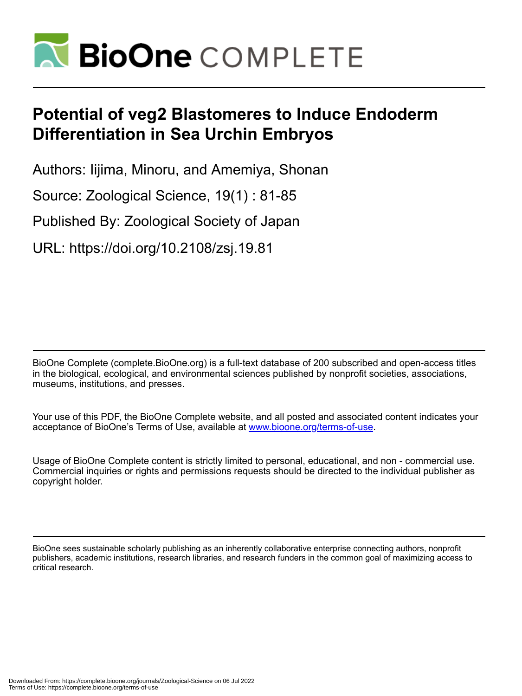

# **Potential of veg2 Blastomeres to Induce Endoderm Differentiation in Sea Urchin Embryos**

Authors: Iijima, Minoru, and Amemiya, Shonan

Source: Zoological Science, 19(1) : 81-85

Published By: Zoological Society of Japan

URL: https://doi.org/10.2108/zsj.19.81

BioOne Complete (complete.BioOne.org) is a full-text database of 200 subscribed and open-access titles in the biological, ecological, and environmental sciences published by nonprofit societies, associations, museums, institutions, and presses.

Your use of this PDF, the BioOne Complete website, and all posted and associated content indicates your acceptance of BioOne's Terms of Use, available at www.bioone.org/terms-of-use.

Usage of BioOne Complete content is strictly limited to personal, educational, and non - commercial use. Commercial inquiries or rights and permissions requests should be directed to the individual publisher as copyright holder.

BioOne sees sustainable scholarly publishing as an inherently collaborative enterprise connecting authors, nonprofit publishers, academic institutions, research libraries, and research funders in the common goal of maximizing access to critical research.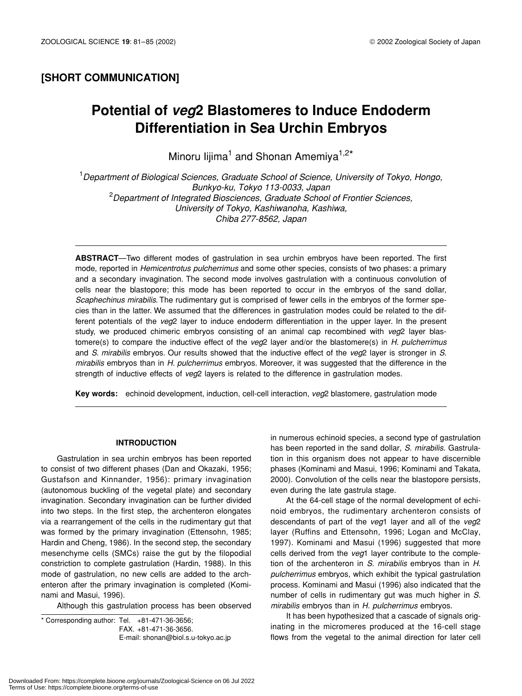### **[SHORT COMMUNICATION]**

## **Potential of** *veg***2 Blastomeres to Induce Endoderm Differentiation in Sea Urchin Embryos**

Minoru lijima<sup>1</sup> and Shonan Amemiya<sup>1,2\*</sup>

1 *Department of Biological Sciences, Graduate School of Science, University of Tokyo, Hongo, Bunkyo-ku, Tokyo 113-0033, Japan* 2 *Department of Integrated Biosciences, Graduate School of Frontier Sciences, University of Tokyo, Kashiwanoha, Kashiwa, Chiba 277-8562, Japan* 

**ABSTRACT**—Two different modes of gastrulation in sea urchin embryos have been reported. The first mode, reported in *Hemicentrotus pulcherrimus* and some other species, consists of two phases: a primary and a secondary invagination. The second mode involves gastrulation with a continuous convolution of cells near the blastopore; this mode has been reported to occur in the embryos of the sand dollar, *Scaphechinus mirabilis*. The rudimentary gut is comprised of fewer cells in the embryos of the former species than in the latter. We assumed that the differences in gastrulation modes could be related to the different potentials of the *veg*2 layer to induce endoderm differentiation in the upper layer. In the present study, we produced chimeric embryos consisting of an animal cap recombined with *veg*2 layer blastomere(s) to compare the inductive effect of the *veg*2 layer and/or the blastomere(s) in *H. pulcherrimus* and *S. mirabilis* embryos. Our results showed that the inductive effect of the *veg*2 layer is stronger in *S. mirabilis* embryos than in *H. pulcherrimus* embryos. Moreover, it was suggested that the difference in the strength of inductive effects of *veg*2 layers is related to the difference in gastrulation modes.

**Key words:** echinoid development, induction, cell-cell interaction, *veg*2 blastomere, gastrulation mode

#### **INTRODUCTION**

Gastrulation in sea urchin embryos has been reported to consist of two different phases (Dan and Okazaki, 1956; Gustafson and Kinnander, 1956): primary invagination (autonomous buckling of the vegetal plate) and secondary invagination. Secondary invagination can be further divided into two steps. In the first step, the archenteron elongates via a rearrangement of the cells in the rudimentary gut that was formed by the primary invagination (Ettensohn, 1985; Hardin and Cheng, 1986). In the second step, the secondary mesenchyme cells (SMCs) raise the gut by the filopodial constriction to complete gastrulation (Hardin, 1988). In this mode of gastrulation, no new cells are added to the archenteron after the primary invagination is completed (Kominami and Masui, 1996).

Although this gastrulation process has been observed

\* Corresponding author: Tel. +81-471-36-3656; FAX. +81-471-36-3656. E-mail: shonan@biol.s.u-tokyo.ac.jp in numerous echinoid species, a second type of gastrulation has been reported in the sand dollar, *S. mirabilis*. Gastrulation in this organism does not appear to have discernible phases (Kominami and Masui, 1996; Kominami and Takata, 2000). Convolution of the cells near the blastopore persists, even during the late gastrula stage.

At the 64-cell stage of the normal development of echinoid embryos, the rudimentary archenteron consists of descendants of part of the *veg*1 layer and all of the *veg*2 layer (Ruffins and Ettensohn, 1996; Logan and McClay, 1997). Kominami and Masui (1996) suggested that more cells derived from the *veg*1 layer contribute to the completion of the archenteron in *S. mirabilis* embryos than in *H*. *pulcherrimus* embryos, which exhibit the typical gastrulation process. Kominami and Masui (1996) also indicated that the number of cells in rudimentary gut was much higher in *S. mirabilis* embryos than in *H. pulcherrimus* embryos.

It has been hypothesized that a cascade of signals originating in the micromeres produced at the 16-cell stage flows from the vegetal to the animal direction for later cell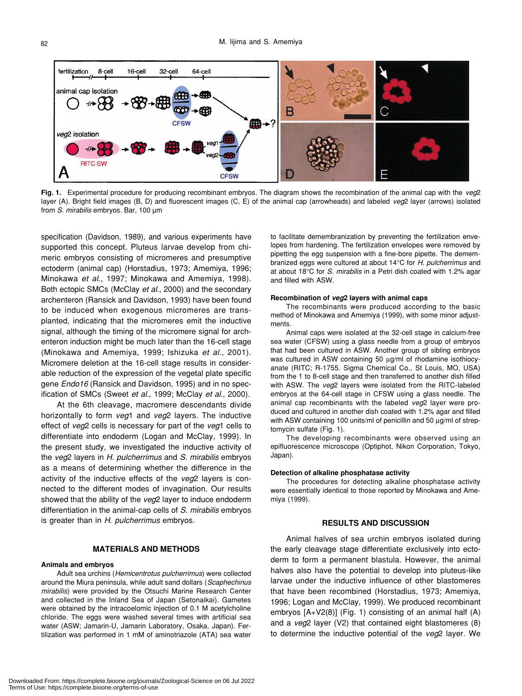

**Fig. 1.** Experimental procedure for producing recombinant embryos. The diagram shows the recombination of the animal cap with the *veg*2 layer (A). Bright field images (B, D) and fluorescent images (C, E) of the animal cap (arrowheads) and labeled *veg*2 layer (arrows) isolated from *S. mirabilis* embryos. Bar, 100 µm

specification (Davidson, 1989), and various experiments have supported this concept. Pluteus larvae develop from chimeric embryos consisting of micromeres and presumptive ectoderm (animal cap) (Horstadius, 1973; Amemiya, 1996; Minokawa *et al*., 1997; Minokawa and Amemiya, 1998). Both ectopic SMCs (McClay *et al*., 2000) and the secondary archenteron (Ransick and Davidson, 1993) have been found to be induced when exogenous micromeres are transplanted, indicating that the micromeres emit the inductive signal, although the timing of the micromere signal for archenteron induction might be much later than the 16-cell stage (Minokawa and Amemiya, 1999; Ishizuka *et al*., 2001). Micromere deletion at the 16-cell stage results in considerable reduction of the expression of the vegetal plate specific gene *Endo16* (Ransick and Davidson, 1995) and in no specification of SMCs (Sweet *et al*., 1999; McClay *et al*., 2000).

At the 6th cleavage, macromere descendants divide horizontally to form *veg*1 and *veg*2 layers. The inductive effect of *veg*2 cells is necessary for part of the *veg*1 cells to differentiate into endoderm (Logan and McClay, 1999). In the present study, we investigated the inductive activity of the *veg*2 layers in *H*. *pulcherrimus* and *S*. *mirabilis* embryos as a means of determining whether the difference in the activity of the inductive effects of the *veg*2 layers is connected to the different modes of invagination. Our results showed that the ability of the *veg*2 layer to induce endoderm differentiation in the animal-cap cells of *S*. *mirabilis* embryos is greater than in *H*. *pulcherrimus* embryos.

#### **MATERIALS AND METHODS**

#### **Animals and embryos**

Adult sea urchins (*Hemicentrotus pulcherrimus*) were collected around the Miura peninsula, while adult sand dollars (*Scaphechinus mirabilis*) were provided by the Otsuchi Marine Research Center and collected in the Inland Sea of Japan (Setonaikai). Gametes were obtained by the intracoelomic injection of 0.1 M acetylcholine chloride. The eggs were washed several times with artificial sea water (ASW; Jamarin-U, Jamarin Laboratory, Osaka, Japan). Fertilization was performed in 1 mM of aminotriazole (ATA) sea water to facilitate demembranization by preventing the fertilization envelopes from hardening. The fertilization envelopes were removed by pipetting the egg suspension with a fine-bore pipette. The demembranized eggs were cultured at about 14°C for *H. pulcherrimus* and at about 18°C for *S. mirabilis* in a Petri dish coated with 1.2% agar and filled with ASW.

#### **Recombination of** *veg***2 layers with animal caps**

The recombinants were produced according to the basic method of Minokawa and Amemiya (1999), with some minor adjustments.

Animal caps were isolated at the 32-cell stage in calcium-free sea water (CFSW) using a glass needle from a group of embryos that had been cultured in ASW. Another group of sibling embryos was cultured in ASW containing 50 µg/ml of rhodamine isothiocyanate (RITC; R-1755. Sigma Chemical Co., St Louis, MO, USA) from the 1 to 8-cell stage and then transferred to another dish filled with ASW. The *veg*2 layers were isolated from the RITC-labeled embryos at the 64-cell stage in CFSW using a glass needle. The animal cap recombinants with the labeled *veg*2 layer were produced and cultured in another dish coated with 1.2% agar and filled with ASW containing 100 units/ml of penicillin and 50 µg/ml of streptomycin sulfate (Fig. 1).

The developing recombinants were observed using an epifluorescence microscope (Optiphot, Nikon Corporation, Tokyo, Japan).

#### **Detection of alkaline phosphatase activity**

The procedures for detecting alkaline phosphatase activity were essentially identical to those reported by Minokawa and Amemiya (1999).

#### **RESULTS AND DISCUSSION**

Animal halves of sea urchin embryos isolated during the early cleavage stage differentiate exclusively into ectoderm to form a permanent blastula. However, the animal halves also have the potential to develop into pluteus-like larvae under the inductive influence of other blastomeres that have been recombined (Horstadius, 1973; Amemiya, 1996; Logan and McClay, 1999). We produced recombinant embryos [A+V2(8)] (Fig. 1) consisting of an animal half (A) and a *veg*2 layer (V2) that contained eight blastomeres (8) to determine the inductive potential of the *veg*2 layer. We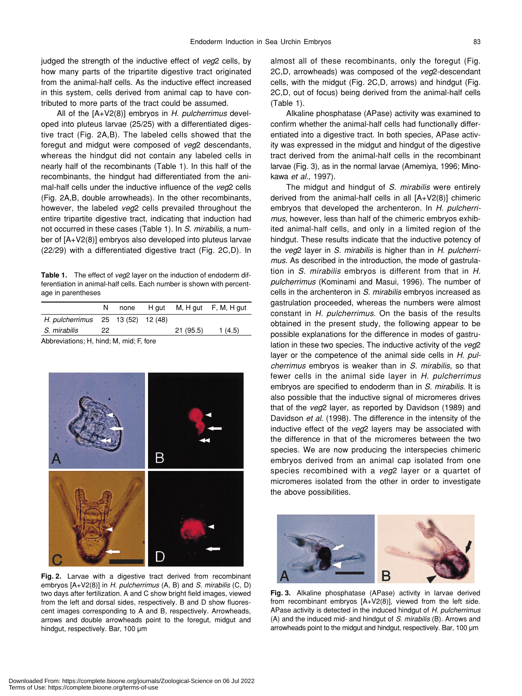judged the strength of the inductive effect of *veg*2 cells, by how many parts of the tripartite digestive tract originated from the animal-half cells. As the inductive effect increased in this system, cells derived from animal cap to have contributed to more parts of the tract could be assumed.

All of the [A+V2(8)] embryos in *H*. *pulcherrimus* developed into pluteus larvae (25/25) with a differentiated digestive tract (Fig. 2A,B). The labeled cells showed that the foregut and midgut were composed of *veg*2 descendants, whereas the hindgut did not contain any labeled cells in nearly half of the recombinants (Table 1). In this half of the recombinants, the hindgut had differentiated from the animal-half cells under the inductive influence of the *veg*2 cells (Fig. 2A,B, double arrowheads). In the other recombinants, however, the labeled *veg*2 cells prevailed throughout the entire tripartite digestive tract, indicating that induction had not occurred in these cases (Table 1). In *S*. *mirabilis*, a number of [A+V2(8)] embryos also developed into pluteus larvae (22/29) with a differentiated digestive tract (Fig. 2C,D). In

**Table 1.** The effect of *veg*2 layer on the induction of endoderm differentiation in animal-half cells. Each number is shown with percentage in parentheses

|                                    | N   |  |  |          | none H gut M, H gut F, M, H gut |
|------------------------------------|-----|--|--|----------|---------------------------------|
| H. pulcherrimus 25 13 (52) 12 (48) |     |  |  |          |                                 |
| S. mirabilis                       | 22. |  |  | 21(95.5) | 1(4.5)                          |
|                                    |     |  |  |          |                                 |

Abbreviations; H, hind; M, mid; F, fore



**Fig. 2.** Larvae with a digestive tract derived from recombinant embryos [A+V2(8)] in *H. pulcherrimus* (A, B) and *S. mirabilis* (C, D) two days after fertilization. A and C show bright field images, viewed from the left and dorsal sides, respectively. B and D show fluorescent images corresponding to A and B, respectively. Arrowheads, arrows and double arrowheads point to the foregut, midgut and hindgut, respectively. Bar, 100 µm

almost all of these recombinants, only the foregut (Fig. 2C,D, arrowheads) was composed of the *veg*2-descendant cells, with the midgut (Fig. 2C,D, arrows) and hindgut (Fig. 2C,D, out of focus) being derived from the animal-half cells (Table 1).

Alkaline phosphatase (APase) activity was examined to confirm whether the animal-half cells had functionally differentiated into a digestive tract. In both species, APase activity was expressed in the midgut and hindgut of the digestive tract derived from the animal-half cells in the recombinant larvae (Fig. 3), as in the normal larvae (Amemiya, 1996; Minokawa *et al.*, 1997).

The midgut and hindgut of *S*. *mirabilis* were entirely derived from the animal-half cells in all [A+V2(8)] chimeric embryos that developed the archenteron. In *H*. *pulcherrimus*, however, less than half of the chimeric embryos exhibited animal-half cells, and only in a limited region of the hindgut. These results indicate that the inductive potency of the *veg*2 layer in *S*. *mirabilis* is higher than in *H*. *pulcherrimus*. As described in the introduction, the mode of gastrulation in *S. mirabilis* embryos is different from that in *H. pulcherrimus* (Kominami and Masui, 1996). The number of cells in the archenteron in *S. mirabilis* embryos increased as gastrulation proceeded, whereas the numbers were almost constant in *H. pulcherrimus*. On the basis of the results obtained in the present study, the following appear to be possible explanations for the difference in modes of gastrulation in these two species. The inductive activity of the *veg*2 layer or the competence of the animal side cells in *H. pulcherrimus* embryos is weaker than in *S. mirabilis*, so that fewer cells in the animal side layer in *H. pulcherrimus* embryos are specified to endoderm than in *S. mirabilis*. It is also possible that the inductive signal of micromeres drives that of the *veg*2 layer, as reported by Davidson (1989) and Davidson *et al*. (1998). The difference in the intensity of the inductive effect of the *veg*2 layers may be associated with the difference in that of the micromeres between the two species. We are now producing the interspecies chimeric embryos derived from an animal cap isolated from one species recombined with a *veg*2 layer or a quartet of micromeres isolated from the other in order to investigate the above possibilities.



**Fig. 3.** Alkaline phosphatase (APase) activity in larvae derived from recombinant embryos [A+V2(8)], viewed from the left side. APase activity is detected in the induced hindgut of *H. pulcherrimus* (A) and the induced mid- and hindgut of *S. mirabilis* (B). Arrows and arrowheads point to the midgut and hindgut, respectively. Bar, 100 µm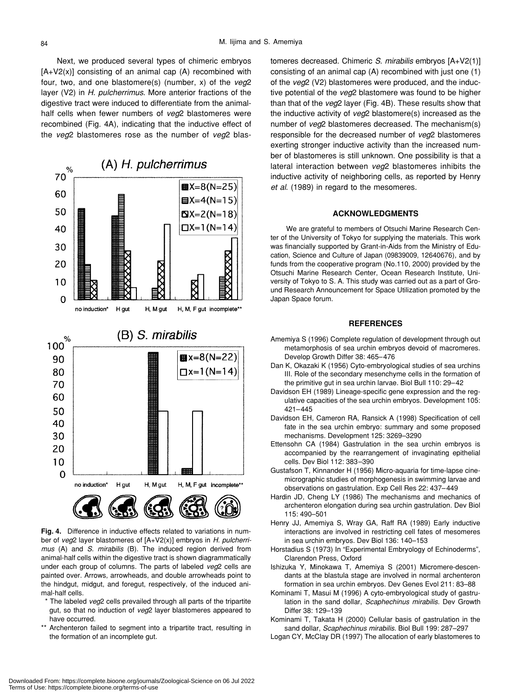Next, we produced several types of chimeric embryos  $[A+V2(x)]$  consisting of an animal cap  $(A)$  recombined with four, two, and one blastomere(s) (number, x) of the *veg*2 layer (V2) in *H. pulcherrimus*. More anterior fractions of the digestive tract were induced to differentiate from the animalhalf cells when fewer numbers of *veg*2 blastomeres were recombined (Fig. 4A), indicating that the inductive effect of the *veg*2 blastomeres rose as the number of *veg*2 blas-



**Fig. 4.** Difference in inductive effects related to variations in number of *veg*2 layer blastomeres of [A+V2(x)] embryos in *H. pulcherrimus* (A) and *S. mirabilis* (B). The induced region derived from animal-half cells within the digestive tract is shown diagrammatically under each group of columns. The parts of labeled *veg*2 cells are painted over. Arrows, arrowheads, and double arrowheads point to the hindgut, midgut, and foregut, respectively, of the induced animal-half cells.

- The labeled *veg*2 cells prevailed through all parts of the tripartite gut, so that no induction of *veg*2 layer blastomeres appeared to have occurred.
- \*\* Archenteron failed to segment into a tripartite tract, resulting in the formation of an incomplete gut.

tomeres decreased. Chimeric *S. mirabilis* embryos [A+V2(1)] consisting of an animal cap (A) recombined with just one (1) of the *veg*2 (V2) blastomeres were produced, and the inductive potential of the *veg*2 blastomere was found to be higher than that of the *veg*2 layer (Fig. 4B). These results show that the inductive activity of *veg*2 blastomere(s) increased as the number of *veg*2 blastomeres decreased. The mechanism(s) responsible for the decreased number of *veg*2 blastomeres exerting stronger inductive activity than the increased number of blastomeres is still unknown. One possibility is that a lateral interaction between *veg*2 blastomeres inhibits the inductive activity of neighboring cells, as reported by Henry *et al*. (1989) in regard to the mesomeres.

#### **ACKNOWLEDGMENTS**

We are grateful to members of Otsuchi Marine Research Center of the University of Tokyo for supplying the materials. This work was financially supported by Grant-in-Aids from the Ministry of Education, Science and Culture of Japan (09839009, 12640676), and by funds from the cooperative program (No.110, 2000) provided by the Otsuchi Marine Research Center, Ocean Research Institute, University of Tokyo to S. A. This study was carried out as a part of Ground Research Announcement for Space Utilization promoted by the Japan Space forum.

#### **REFERENCES**

- Amemiya S (1996) Complete regulation of development through out metamorphosis of sea urchin embryos devoid of macromeres. Develop Growth Differ 38: 465–476
- Dan K, Okazaki K (1956) Cyto-embryological studies of sea urchins III. Role of the secondary mesenchyme cells in the formation of the primitive gut in sea urchin larvae. Biol Bull 110: 29–42
- Davidson EH (1989) Lineage-specific gene expression and the regulative capacities of the sea urchin embryos. Development 105: 421–445
- Davidson EH, Cameron RA, Ransick A (1998) Specification of cell fate in the sea urchin embryo: summary and some proposed mechanisms. Development 125: 3269–3290
- Ettensohn CA (1984) Gastrulation in the sea urchin embryos is accompanied by the rearrangement of invaginating epithelial cells. Dev Biol 112: 383–390
- Gustafson T, Kinnander H (1956) Micro-aquaria for time-lapse cinemicrographic studies of morphogenesis in swimming larvae and observations on gastrulation. Exp Cell Res 22: 437–449
- Hardin JD, Cheng LY (1986) The mechanisms and mechanics of archenteron elongation during sea urchin gastrulation. Dev Biol 115: 490–501
- Henry JJ, Amemiya S, Wray GA, Raff RA (1989) Early inductive interactions are involved in restricting cell fates of mesomeres in sea urchin embryos. Dev Biol 136: 140–153
- Horstadius S (1973) In "Experimental Embryology of Echinoderms", Clarendon Press, Oxford
- Ishizuka Y, Minokawa T, Amemiya S (2001) Micromere-descendants at the blastula stage are involved in normal archenteron formation in sea urchin embryos. Dev Genes Evol 211: 83–88
- Kominami T, Masui M (1996) A cyto-embryological study of gastrulation in the sand dollar, *Scaphechinus mirabilis*. Dev Growth Differ 38: 129–139
- Kominami T, Takata H (2000) Cellular basis of gastrulation in the sand dollar, *Scaphechinus mirabilis*. Biol Bull 199: 287–297
- Logan CY, McClay DR (1997) The allocation of early blastomeres to